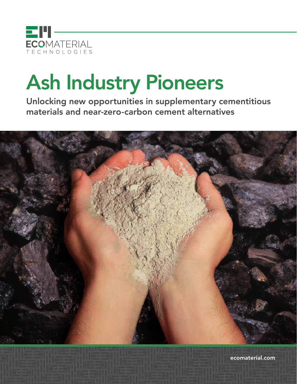

# Ash Industry Pioneers

Unlocking new opportunities in supplementary cementitious materials and near-zero-carbon cement alternatives



ecomaterial.com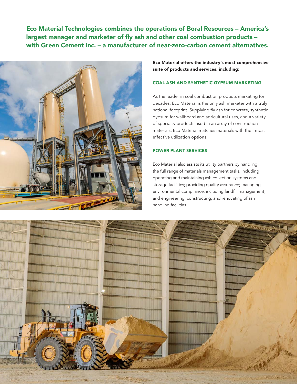Eco Material Technologies combines the operations of Boral Resources – America's largest manager and marketer of fly ash and other coal combustion products – with Green Cement Inc. – a manufacturer of near-zero-carbon cement alternatives.



Eco Material offers the industry's most comprehensive suite of products and services, including:

# COAL ASH AND SYNTHETIC GYPSUM MARKETING

As the leader in coal combustion products marketing for decades, Eco Material is the only ash marketer with a truly national footprint. Supplying fly ash for concrete, synthetic gypsum for wallboard and agricultural uses, and a variety of specialty products used in an array of construction materials, Eco Material matches materials with their most effective utilization options.

# POWER PLANT SERVICES

Eco Material also assists its utility partners by handling the full range of materials management tasks, including operating and maintaining ash collection systems and storage facilities; providing quality assurance; managing environmental compliance, including landfill management; and engineering, constructing, and renovating of ash handling facilities.

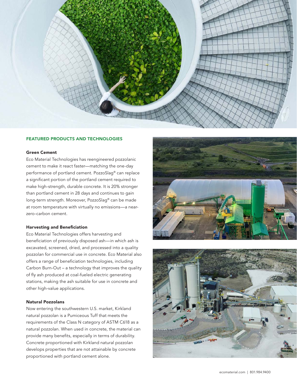

# FEATURED PRODUCTS AND TECHNOLOGIES

#### Green Cement

Eco Material Technologies has reengineered pozzolanic cement to make it react faster—matching the one-day performance of portland cement. PozzoSlag® can replace a significant portion of the portland cement required to make high-strength, durable concrete. It is 20% stronger than portland cement in 28 days and continues to gain long-term strength. Moreover, PozzoSlag® can be made at room temperature with virtually no emissions—a nearzero-carbon cement.

# Harvesting and Beneficiation

Eco Material Technologies offers harvesting and beneficiation of previously disposed ash—in which ash is excavated, screened, dried, and processed into a quality pozzolan for commercial use in concrete. Eco Material also offers a range of beneficiation technologies, including Carbon Burn-Out – a technology that improves the quality of fly ash produced at coal-fueled electric generating stations, making the ash suitable for use in concrete and other high-value applications.

### Natural Pozzolans

Now entering the southwestern U.S. market, Kirkland natural pozzolan is a Pumiceous Tuff that meets the requirements of the Class N category of ASTM C618 as a natural pozzolan. When used in concrete, the material can provide many benefits, especially in terms of durability. Concrete proportioned with Kirkland natural pozzolan develops properties that are not attainable by concrete proportioned with portland cement alone.



![](_page_2_Picture_9.jpeg)